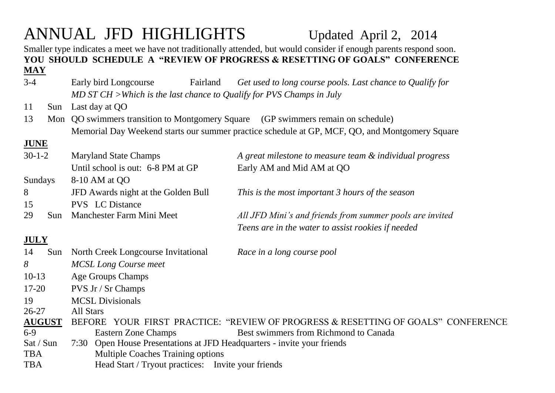# ANNUAL JFD HIGHLIGHTS Updated April 2, 2014

Smaller type indicates a meet we have not traditionally attended, but would consider if enough parents respond soon. **YOU SHOULD SCHEDULE A "REVIEW OF PROGRESS & RESETTING OF GOALS" CONFERENCE MAY**

- 3-4 Early bird Longcourse Fairland *Get used to long course pools. Last chance to Qualify for MD ST CH >Which is the last chance to Qualify for PVS Champs in July*
- 11 Sun Last day at QO
- 13 Mon QO swimmers transition to Montgomery Square (GP swimmers remain on schedule) Memorial Day Weekend starts our summer practice schedule at GP, MCF, QO, and Montgomery Square

## **JUNE**

| $30 - 1 - 2$  | <b>Maryland State Champs</b>                                            | A great milestone to measure team & individual progress                   |  |  |
|---------------|-------------------------------------------------------------------------|---------------------------------------------------------------------------|--|--|
|               | Until school is out: 6-8 PM at GP                                       | Early AM and Mid AM at QO                                                 |  |  |
| Sundays       | 8-10 AM at QO                                                           |                                                                           |  |  |
| 8             | JFD Awards night at the Golden Bull                                     | This is the most important 3 hours of the season                          |  |  |
| 15            | <b>PVS</b> LC Distance                                                  |                                                                           |  |  |
| 29<br>Sun     | Manchester Farm Mini Meet                                               | All JFD Mini's and friends from summer pools are invited                  |  |  |
|               |                                                                         | Teens are in the water to assist rookies if needed                        |  |  |
| <b>JULY</b>   |                                                                         |                                                                           |  |  |
| 14<br>Sun     | North Creek Longcourse Invitational                                     | Race in a long course pool                                                |  |  |
| 8             | <b>MCSL Long Course meet</b>                                            |                                                                           |  |  |
| $10-13$       | Age Groups Champs                                                       |                                                                           |  |  |
| $17 - 20$     | <b>PVS Jr / Sr Champs</b>                                               |                                                                           |  |  |
| 19            | <b>MCSL Divisionals</b>                                                 |                                                                           |  |  |
| $26 - 27$     | All Stars                                                               |                                                                           |  |  |
| <b>AUGUST</b> | <b>BEFORE</b>                                                           | YOUR FIRST PRACTICE: "REVIEW OF PROGRESS & RESETTING OF GOALS" CONFERENCE |  |  |
| $6-9$         | Eastern Zone Champs                                                     | Best swimmers from Richmond to Canada                                     |  |  |
| Sat / Sun     | 7:30 Open House Presentations at JFD Headquarters - invite your friends |                                                                           |  |  |
| <b>TBA</b>    | <b>Multiple Coaches Training options</b>                                |                                                                           |  |  |
| <b>TBA</b>    | Head Start / Tryout practices: Invite your friends                      |                                                                           |  |  |
|               |                                                                         |                                                                           |  |  |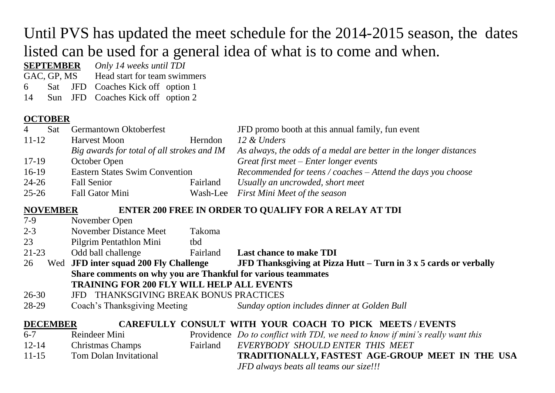## Until PVS has updated the meet schedule for the 2014-2015 season, the dates listed can be used for a general idea of what is to come and when.

**SEPTEMBER** *Only 14 weeks until TDI*

GAC, GP, MS Head start for team swimmers

6 Sat JFD Coaches Kick off option 1

14 Sun JFD Coaches Kick off option 2

## **OCTOBER**

| $\overline{4}$<br>Sat | Germantown Oktoberfest                     |          | JFD promo booth at this annual family, fun event                  |
|-----------------------|--------------------------------------------|----------|-------------------------------------------------------------------|
| $11 - 12$             | <b>Harvest Moon</b>                        | Herndon  | 12 & Unders                                                       |
|                       | Big awards for total of all strokes and IM |          | As always, the odds of a medal are better in the longer distances |
| $17-19$               | October Open                               |          | Great first meet $-$ Enter longer events                          |
| $16-19$               | <b>Eastern States Swim Convention</b>      |          | Recommended for teens / coaches $-$ Attend the days you choose    |
| $24 - 26$             | Fall Senior                                | Fairland | Usually an uncrowded, short meet                                  |
| $25 - 26$             | Fall Gator Mini                            | Wash-Lee | First Mini Meet of the season                                     |

### **NOVEMBER ENTER 200 FREE IN ORDER TO QUALIFY FOR A RELAY AT TDI**

| $7-9$                                                                     | November Open                                                |               |                                                                                |  |  |  |  |
|---------------------------------------------------------------------------|--------------------------------------------------------------|---------------|--------------------------------------------------------------------------------|--|--|--|--|
| $2 - 3$                                                                   | November Distance Meet                                       | <b>Takoma</b> |                                                                                |  |  |  |  |
| 23                                                                        | Pilgrim Pentathlon Mini                                      | tbd           |                                                                                |  |  |  |  |
| 21-23                                                                     | Odd ball challenge                                           | Fairland      | <b>Last chance to make TDI</b>                                                 |  |  |  |  |
| 26                                                                        | Wed JFD inter squad 200 Fly Challenge                        |               | JFD Thanksgiving at Pizza Hutt – Turn in $3 \times 5$ cards or verbally        |  |  |  |  |
|                                                                           | Share comments on why you are Thankful for various teammates |               |                                                                                |  |  |  |  |
|                                                                           | <b>TRAINING FOR 200 FLY WILL HELP ALL EVENTS</b>             |               |                                                                                |  |  |  |  |
| $26 - 30$                                                                 | JFD THANKSGIVING BREAK BONUS PRACTICES                       |               |                                                                                |  |  |  |  |
| 28-29                                                                     | Coach's Thanksgiving Meeting                                 |               | Sunday option includes dinner at Golden Bull                                   |  |  |  |  |
| <b>DECEMBER</b><br>CAREFULLY CONSULT WITH YOUR COACH TO PICK MEETS/EVENTS |                                                              |               |                                                                                |  |  |  |  |
| $6 - 7$                                                                   | Reindeer Mini                                                |               | Providence Do to conflict with TDI, we need to know if mini's really want this |  |  |  |  |
| $12 - 14$                                                                 | <b>Christmas Champs</b>                                      | Fairland      | EVERYBODY SHOULD ENTER THIS MEET                                               |  |  |  |  |
| $11 - 15$                                                                 | <b>Tom Dolan Invitational</b>                                |               | TRADITIONALLY, FASTEST AGE-GROUP MEET IN THE USA                               |  |  |  |  |
|                                                                           |                                                              |               |                                                                                |  |  |  |  |

*JFD always beats all teams our size!!!*